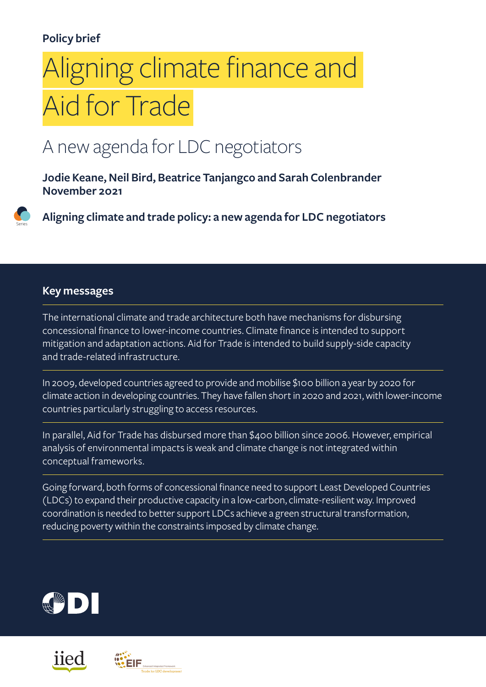#### **Policy brief**

# Aligning climate finance and Aid for Trade

### A new agenda for LDC negotiators

**Jodie Keane, Neil Bird, Beatrice Tanjangco and Sarah Colenbrander November 2021**



#### **Key messages**

The international climate and trade architecture both have mechanisms for disbursing concessional finance to lower-income countries. Climate finance is intended to support mitigation and adaptation actions. Aid for Trade is intended to build supply-side capacity and trade-related infrastructure.

In 2009, developed countries agreed to provide and mobilise \$100 billion a year by 2020 for climate action in developing countries. They have fallen short in 2020 and 2021, with lower-income countries particularly struggling to access resources.

In parallel, Aid for Trade has disbursed more than \$400 billion since 2006. However, empirical analysis of environmental impacts is weak and climate change is not integrated within conceptual frameworks.

Going forward, both forms of concessional finance need to support Least Developed Countries (LDCs) to expand their productive capacity in a low-carbon, climate-resilient way. Improved coordination is needed to better support LDCs achieve a green structural transformation, reducing poverty within the constraints imposed by climate change.





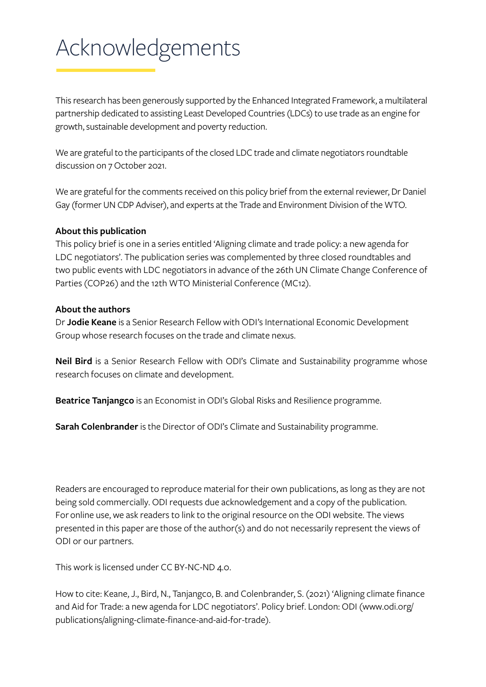## Acknowledgements

This research has been generously supported by the Enhanced Integrated Framework, a multilateral partnership dedicated to assisting Least Developed Countries (LDCs) to use trade as an engine for growth, sustainable development and poverty reduction.

We are grateful to the participants of the closed LDC trade and climate negotiators roundtable discussion on 7 October 2021.

We are grateful for the comments received on this policy brief from the external reviewer, Dr Daniel Gay (former UN CDP Adviser), and experts at the Trade and Environment Division of the WTO.

#### **About this publication**

This policy brief is one in a series entitled 'Aligning climate and trade policy: a new agenda for LDC negotiators'. The publication series was complemented by three closed roundtables and two public events with LDC negotiators in advance of the 26th UN Climate Change Conference of Parties (COP26) and the 12th WTO Ministerial Conference (MC12).

#### **About the authors**

Dr **Jodie Keane** is a Senior Research Fellow with ODI's International Economic Development Group whose research focuses on the trade and climate nexus.

**Neil Bird** is a Senior Research Fellow with ODI's Climate and Sustainability programme whose research focuses on climate and development.

**Beatrice Tanjangco** is an Economist in ODI's Global Risks and Resilience programme.

**Sarah Colenbrander** is the Director of ODI's Climate and Sustainability programme.

Readers are encouraged to reproduce material for their own publications, as long as they are not being sold commercially. ODI requests due acknowledgement and a copy of the publication. For online use, we ask readers to link to the original resource on the ODI website. The views presented in this paper are those of the author(s) and do not necessarily represent the views of ODI or our partners.

This work is licensed under CC BY-NC-ND 4.0.

How to cite: Keane, J., Bird, N., Tanjangco, B. and Colenbrander, S. (2021) 'Aligning climate finance and Aid for Trade: a new agenda for LDC negotiators'. Policy brief. London: ODI [\(www.odi.org/](http://www.odi.org/publications/aligning-climate-finance-and-aid-for-trade) [publications/aligning-climate-finance-and-aid-for-trade](http://www.odi.org/publications/aligning-climate-finance-and-aid-for-trade)).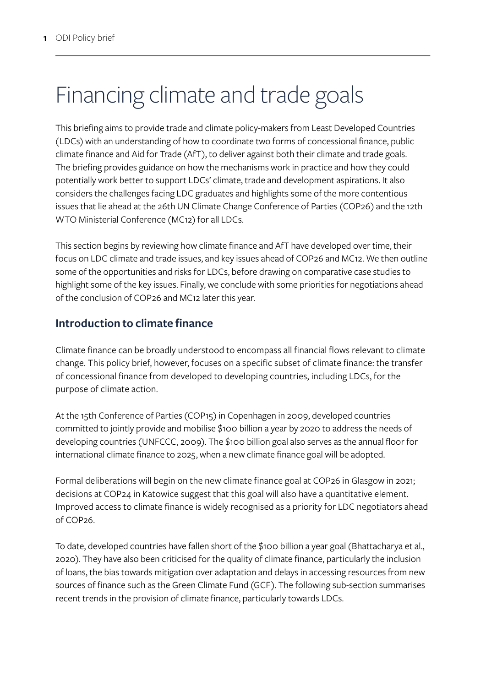## Financing climate and trade goals

This briefing aims to provide trade and climate policy-makers from Least Developed Countries (LDCs) with an understanding of how to coordinate two forms of concessional finance, public climate finance and Aid for Trade (AfT), to deliver against both their climate and trade goals. The briefing provides guidance on how the mechanisms work in practice and how they could potentially work better to support LDCs' climate, trade and development aspirations. It also considers the challenges facing LDC graduates and highlights some of the more contentious issues that lie ahead at the 26th UN Climate Change Conference of Parties (COP26) and the 12th WTO Ministerial Conference (MC12) for all LDCs.

This section begins by reviewing how climate finance and AfT have developed over time, their focus on LDC climate and trade issues, and key issues ahead of COP26 and MC12. We then outline some of the opportunities and risks for LDCs, before drawing on comparative case studies to highlight some of the key issues. Finally, we conclude with some priorities for negotiations ahead of the conclusion of COP26 and MC12 later this year.

#### **Introduction to climate finance**

Climate finance can be broadly understood to encompass all financial flows relevant to climate change. This policy brief, however, focuses on a specific subset of climate finance: the transfer of concessional finance from developed to developing countries, including LDCs, for the purpose of climate action.

At the 15th Conference of Parties (COP15) in Copenhagen in 2009, developed countries committed to jointly provide and mobilise \$100 billion a year by 2020 to address the needs of developing countries (UNFCCC, 2009). The \$100 billion goal also serves as the annual floor for international climate finance to 2025, when a new climate finance goal will be adopted.

Formal deliberations will begin on the new climate finance goal at COP26 in Glasgow in 2021; decisions at COP24 in Katowice suggest that this goal will also have a quantitative element. Improved access to climate finance is widely recognised as a priority for LDC negotiators ahead of COP26.

To date, developed countries have fallen short of the \$100 billion a year goal (Bhattacharya et al., 2020). They have also been criticised for the quality of climate finance, particularly the inclusion of loans, the bias towards mitigation over adaptation and delays in accessing resources from new sources of finance such as the Green Climate Fund (GCF). The following sub-section summarises recent trends in the provision of climate finance, particularly towards LDCs.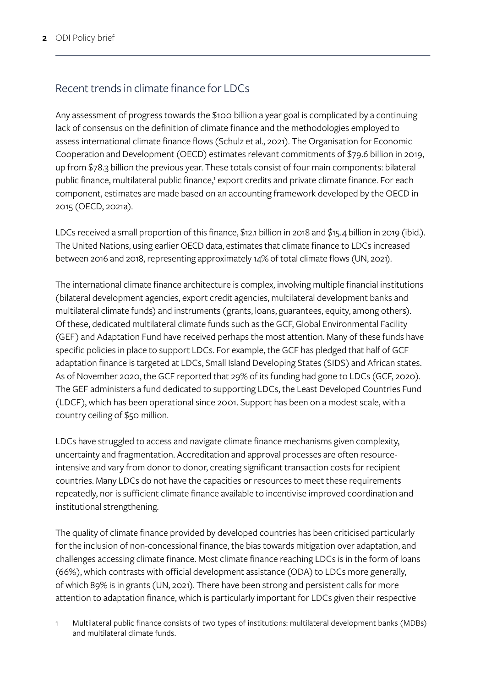#### Recent trends in climate finance for LDCs

Any assessment of progress towards the \$100 billion a year goal is complicated by a continuing lack of consensus on the definition of climate finance and the methodologies employed to assess international climate finance flows (Schulz et al., 2021). The Organisation for Economic Cooperation and Development (OECD) estimates relevant commitments of \$79.6 billion in 2019, up from \$78.3 billion the previous year. These totals consist of four main components: bilateral public finance, multilateral public finance,<sup>1</sup> export credits and private climate finance. For each component, estimates are made based on an accounting framework developed by the OECD in 2015 (OECD, 2021a).

LDCs received a small proportion of this finance, \$12.1 billion in 2018 and \$15.4 billion in 2019 (ibid.). The United Nations, using earlier OECD data, estimates that climate finance to LDCs increased between 2016 and 2018, representing approximately 14% of total climate flows (UN, 2021).

The international climate finance architecture is complex, involving multiple financial institutions (bilateral development agencies, export credit agencies, multilateral development banks and multilateral climate funds) and instruments (grants, loans, guarantees, equity, among others). Of these, dedicated multilateral climate funds such as the GCF, Global Environmental Facility (GEF) and Adaptation Fund have received perhaps the most attention. Many of these funds have specific policies in place to support LDCs. For example, the GCF has pledged that half of GCF adaptation finance is targeted at LDCs, Small Island Developing States (SIDS) and African states. As of November 2020, the GCF reported that 29% of its funding had gone to LDCs (GCF, 2020). The GEF administers a fund dedicated to supporting LDCs, the Least Developed Countries Fund (LDCF), which has been operational since 2001. Support has been on a modest scale, with a country ceiling of \$50 million.

LDCs have struggled to access and navigate climate finance mechanisms given complexity, uncertainty and fragmentation. Accreditation and approval processes are often resourceintensive and vary from donor to donor, creating significant transaction costs for recipient countries. Many LDCs do not have the capacities or resources to meet these requirements repeatedly, nor is sufficient climate finance available to incentivise improved coordination and institutional strengthening.

The quality of climate finance provided by developed countries has been criticised particularly for the inclusion of non-concessional finance, the bias towards mitigation over adaptation, and challenges accessing climate finance. Most climate finance reaching LDCs is in the form of loans (66%), which contrasts with official development assistance (ODA) to LDCs more generally, of which 89% is in grants (UN, 2021). There have been strong and persistent calls for more attention to adaptation finance, which is particularly important for LDCs given their respective

<sup>1</sup> Multilateral public finance consists of two types of institutions: multilateral development banks (MDBs) and multilateral climate funds.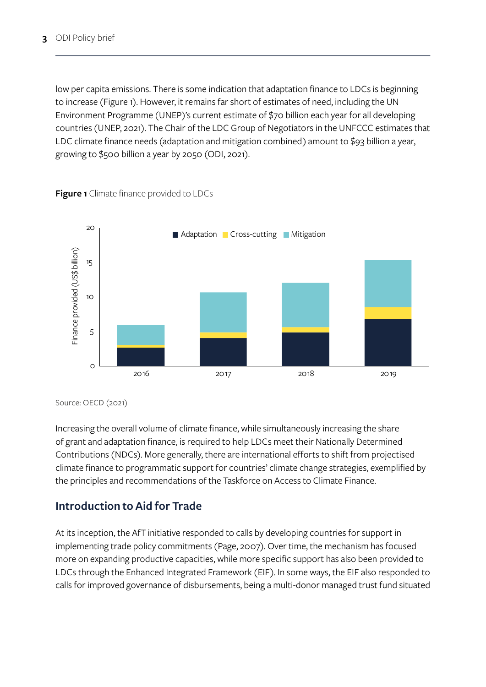low per capita emissions. There is some indication that adaptation finance to LDCs is beginning to increase (Figure 1). However, it remains far short of estimates of need, including the UN Environment Programme (UNEP)'s current estimate of \$70 billion each year for all developing countries (UNEP, 2021). The Chair of the LDC Group of Negotiators in the UNFCCC estimates that LDC climate finance needs (adaptation and mitigation combined) amount to \$93 billion a year, growing to \$500 billion a year by 2050 (ODI, 2021).



**Figure 1** Climate finance provided to LDCs

Source: OECD (2021)

Increasing the overall volume of climate finance, while simultaneously increasing the share of grant and adaptation finance, is required to help LDCs meet their Nationally Determined Contributions (NDCs). More generally, there are international efforts to shift from projectised climate finance to programmatic support for countries' climate change strategies, exemplified by the principles and recommendations of the Taskforce on Access to Climate Finance.

#### **Introduction to Aid for Trade**

At its inception, the AfT initiative responded to calls by developing countries for support in implementing trade policy commitments (Page, 2007). Over time, the mechanism has focused more on expanding productive capacities, while more specific support has also been provided to LDCs through the Enhanced Integrated Framework (EIF). In some ways, the EIF also responded to calls for improved governance of disbursements, being a multi-donor managed trust fund situated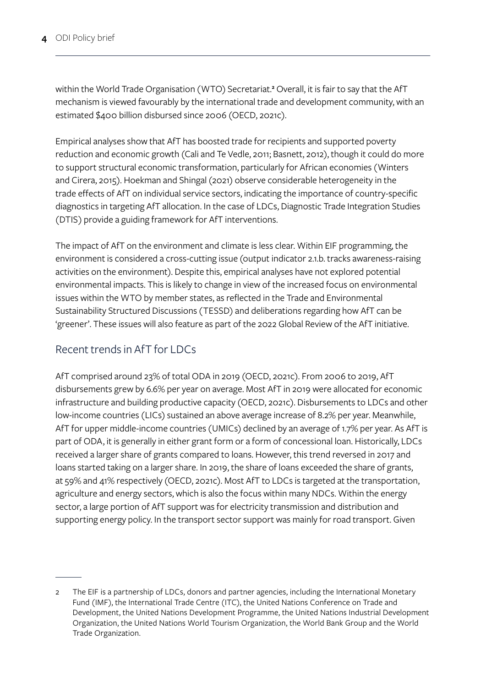within the World Trade Organisation (WTO) Secretariat.**<sup>2</sup>** Overall, it is fair to say that the AfT mechanism is viewed favourably by the international trade and development community, with an estimated \$400 billion disbursed since 2006 (OECD, 2021c).

Empirical analyses show that AfT has boosted trade for recipients and supported poverty reduction and economic growth (Cali and Te Vedle, 2011; Basnett, 2012), though it could do more to support structural economic transformation, particularly for African economies (Winters and Cirera, 2015). Hoekman and Shingal (2021) observe considerable heterogeneity in the trade effects of AfT on individual service sectors, indicating the importance of country-specific diagnostics in targeting AfT allocation. In the case of LDCs, Diagnostic Trade Integration Studies (DTIS) provide a guiding framework for AfT interventions.

The impact of AfT on the environment and climate is less clear. Within EIF programming, the environment is considered a cross-cutting issue (output indicator 2.1.b. tracks awareness-raising activities on the environment). Despite this, empirical analyses have not explored potential environmental impacts. This is likely to change in view of the increased focus on environmental issues within the WTO by member states, as reflected in the Trade and Environmental Sustainability Structured Discussions (TESSD) and deliberations regarding how AfT can be 'greener'. These issues will also feature as part of the 2022 Global Review of the AfT initiative.

#### Recent trends in AfT for LDCs

AfT comprised around 23% of total ODA in 2019 (OECD, 2021c). From 2006 to 2019, AfT disbursements grew by 6.6% per year on average. Most AfT in 2019 were allocated for economic infrastructure and building productive capacity (OECD, 2021c). Disbursements to LDCs and other low-income countries (LICs) sustained an above average increase of 8.2% per year. Meanwhile, AfT for upper middle-income countries (UMICs) declined by an average of 1.7% per year. As AfT is part of ODA, it is generally in either grant form or a form of concessional loan. Historically, LDCs received a larger share of grants compared to loans. However, this trend reversed in 2017 and loans started taking on a larger share. In 2019, the share of loans exceeded the share of grants, at 59% and 41% respectively (OECD, 2021c). Most AfT to LDCs is targeted at the transportation, agriculture and energy sectors, which is also the focus within many NDCs. Within the energy sector, a large portion of AfT support was for electricity transmission and distribution and supporting energy policy. In the transport sector support was mainly for road transport. Given

<sup>2</sup> The EIF is a partnership of LDCs, donors and partner agencies, including the International Monetary Fund (IMF), the International Trade Centre (ITC), the United Nations Conference on Trade and Development, the United Nations Development Programme, the United Nations Industrial Development Organization, the United Nations World Tourism Organization, the World Bank Group and the World Trade Organization.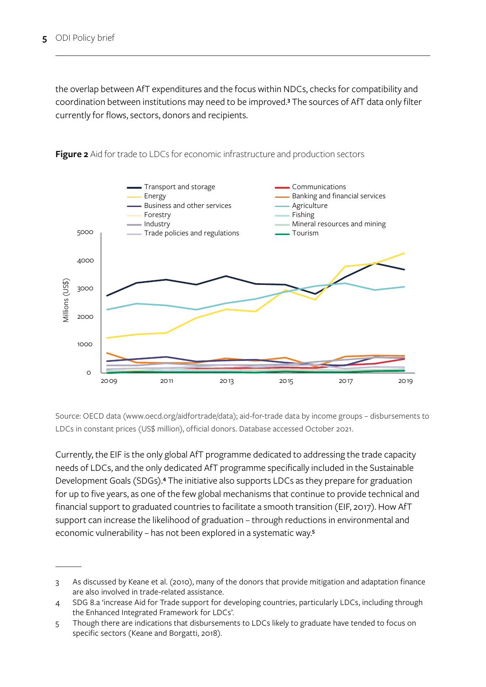the overlap between AfT expenditures and the focus within NDCs, checks for compatibility and coordination between institutions may need to be improved.**<sup>3</sup>** The sources of AfT data only filter currently for flows, sectors, donors and recipients.



**Figure 2** Aid for trade to LDCs for economic infrastructure and production sectors

Source: OECD data [\(www.oecd.org/aidfortrade/data\)](http://www.oecd.org/aidfortrade/data); aid-for-trade data by income groups – disbursements to LDCs in constant prices (US\$ million), official donors. Database accessed October 2021.

Currently, the EIF is the only global AfT programme dedicated to addressing the trade capacity needs of LDCs, and the only dedicated AfT programme specifically included in the Sustainable Development Goals (SDGs).**<sup>4</sup>** The initiative also supports LDCs as they prepare for graduation for up to five years, as one of the few global mechanisms that continue to provide technical and financial support to graduated countries to facilitate a smooth transition (EIF, 2017). How AfT support can increase the likelihood of graduation – through reductions in environmental and economic vulnerability – has not been explored in a systematic way.**<sup>5</sup>**

<sup>3</sup> As discussed by Keane et al. (2010), many of the donors that provide mitigation and adaptation finance are also involved in trade-related assistance.

<sup>4</sup> SDG 8.a 'increase Aid for Trade support for developing countries, particularly LDCs, including through the Enhanced Integrated Framework for LDCs'.

<sup>5</sup> Though there are indications that disbursements to LDCs likely to graduate have tended to focus on specific sectors (Keane and Borgatti, 2018).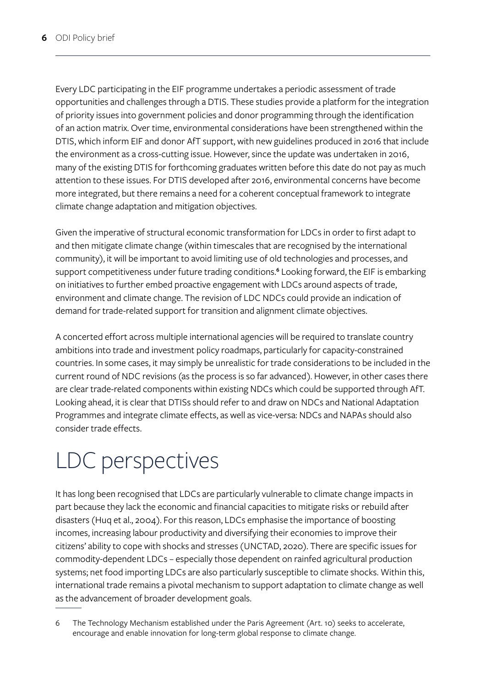Every LDC participating in the EIF programme undertakes a periodic assessment of trade opportunities and challenges through a DTIS. These studies provide a platform for the integration of priority issues into government policies and donor programming through the identification of an action matrix. Over time, environmental considerations have been strengthened within the DTIS, which inform EIF and donor AfT support, with new guidelines produced in 2016 that include the environment as a cross-cutting issue. However, since the update was undertaken in 2016, many of the existing DTIS for forthcoming graduates written before this date do not pay as much attention to these issues. For DTIS developed after 2016, environmental concerns have become more integrated, but there remains a need for a coherent conceptual framework to integrate climate change adaptation and mitigation objectives.

Given the imperative of structural economic transformation for LDCs in order to first adapt to and then mitigate climate change (within timescales that are recognised by the international community), it will be important to avoid limiting use of old technologies and processes, and support competitiveness under future trading conditions.**<sup>6</sup>** Looking forward, the EIF is embarking on initiatives to further embed proactive engagement with LDCs around aspects of trade, environment and climate change. The revision of LDC NDCs could provide an indication of demand for trade-related support for transition and alignment climate objectives.

A concerted effort across multiple international agencies will be required to translate country ambitions into trade and investment policy roadmaps, particularly for capacity-constrained countries. In some cases, it may simply be unrealistic for trade considerations to be included in the current round of NDC revisions (as the process is so far advanced). However, in other cases there are clear trade-related components within existing NDCs which could be supported through AfT. Looking ahead, it is clear that DTISs should refer to and draw on NDCs and National Adaptation Programmes and integrate climate effects, as well as vice-versa: NDCs and NAPAs should also consider trade effects.

## LDC perspectives

It has long been recognised that LDCs are particularly vulnerable to climate change impacts in part because they lack the economic and financial capacities to mitigate risks or rebuild after disasters (Huq et al., 2004). For this reason, LDCs emphasise the importance of boosting incomes, increasing labour productivity and diversifying their economies to improve their citizens' ability to cope with shocks and stresses (UNCTAD, 2020). There are specific issues for commodity-dependent LDCs – especially those dependent on rainfed agricultural production systems; net food importing LDCs are also particularly susceptible to climate shocks. Within this, international trade remains a pivotal mechanism to support adaptation to climate change as well as the advancement of broader development goals.

<sup>6</sup> The Technology Mechanism established under the Paris Agreement (Art. 10) seeks to accelerate, encourage and enable innovation for long-term global response to climate change.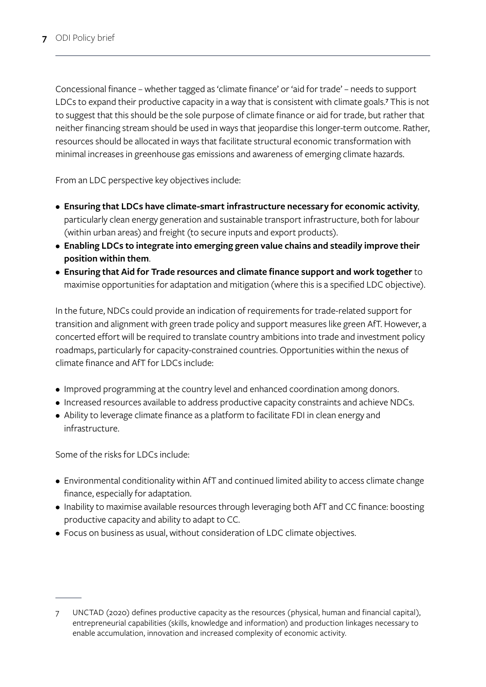Concessional finance – whether tagged as 'climate finance' or 'aid for trade' – needs to support LDCs to expand their productive capacity in a way that is consistent with climate goals.**<sup>7</sup>** This is not to suggest that this should be the sole purpose of climate finance or aid for trade, but rather that neither financing stream should be used in ways that jeopardise this longer-term outcome. Rather, resources should be allocated in ways that facilitate structural economic transformation with minimal increases in greenhouse gas emissions and awareness of emerging climate hazards.

From an LDC perspective key objectives include:

- **Ensuring that LDCs have climate-smart infrastructure necessary for economic activity**, particularly clean energy generation and sustainable transport infrastructure, both for labour (within urban areas) and freight (to secure inputs and export products).
- **Enabling LDCs to integrate into emerging green value chains and steadily improve their position within them**.
- **Ensuring that Aid for Trade resources and climate finance support and work together** to maximise opportunities for adaptation and mitigation (where this is a specified LDC objective).

In the future, NDCs could provide an indication of requirements for trade-related support for transition and alignment with green trade policy and support measures like green AfT. However, a concerted effort will be required to translate country ambitions into trade and investment policy roadmaps, particularly for capacity-constrained countries. Opportunities within the nexus of climate finance and AfT for LDCs include:

- Improved programming at the country level and enhanced coordination among donors.
- Increased resources available to address productive capacity constraints and achieve NDCs.
- Ability to leverage climate finance as a platform to facilitate FDI in clean energy and infrastructure.

Some of the risks for LDCs include:

- Environmental conditionality within AfT and continued limited ability to access climate change finance, especially for adaptation.
- Inability to maximise available resources through leveraging both AfT and CC finance: boosting productive capacity and ability to adapt to CC.
- Focus on business as usual, without consideration of LDC climate objectives.

UNCTAD (2020) defines productive capacity as the resources (physical, human and financial capital), entrepreneurial capabilities (skills, knowledge and information) and production linkages necessary to enable accumulation, innovation and increased complexity of economic activity.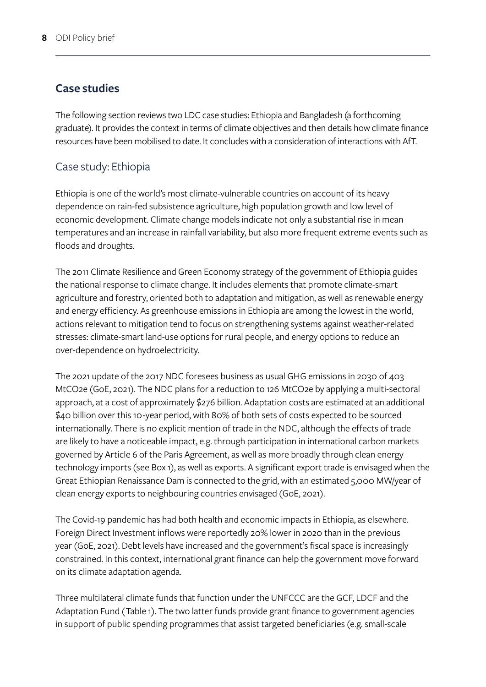#### **Case studies**

The following section reviews two LDC case studies: Ethiopia and Bangladesh (a forthcoming graduate). It provides the context in terms of climate objectives and then details how climate finance resources have been mobilised to date. It concludes with a consideration of interactions with AfT.

#### Case study: Ethiopia

Ethiopia is one of the world's most climate-vulnerable countries on account of its heavy dependence on rain-fed subsistence agriculture, high population growth and low level of economic development. Climate change models indicate not only a substantial rise in mean temperatures and an increase in rainfall variability, but also more frequent extreme events such as floods and droughts.

The 2011 Climate Resilience and Green Economy strategy of the government of Ethiopia guides the national response to climate change. It includes elements that promote climate-smart agriculture and forestry, oriented both to adaptation and mitigation, as well as renewable energy and energy efficiency. As greenhouse emissions in Ethiopia are among the lowest in the world, actions relevant to mitigation tend to focus on strengthening systems against weather-related stresses: climate-smart land-use options for rural people, and energy options to reduce an over-dependence on hydroelectricity.

The 2021 update of the 2017 NDC foresees business as usual GHG emissions in 2030 of 403 MtCO2e (GoE, 2021). The NDC plans for a reduction to 126 MtCO2e by applying a multi-sectoral approach, at a cost of approximately \$276 billion. Adaptation costs are estimated at an additional \$40 billion over this 10-year period, with 80% of both sets of costs expected to be sourced internationally. There is no explicit mention of trade in the NDC, although the effects of trade are likely to have a noticeable impact, e.g. through participation in international carbon markets governed by Article 6 of the Paris Agreement, as well as more broadly through clean energy technology imports (see Box 1), as well as exports. A significant export trade is envisaged when the Great Ethiopian Renaissance Dam is connected to the grid, with an estimated 5,000 MW/year of clean energy exports to neighbouring countries envisaged (GoE, 2021).

The Covid-19 pandemic has had both health and economic impacts in Ethiopia, as elsewhere. Foreign Direct Investment inflows were reportedly 20% lower in 2020 than in the previous year (GoE, 2021). Debt levels have increased and the government's fiscal space is increasingly constrained. In this context, international grant finance can help the government move forward on its climate adaptation agenda.

Three multilateral climate funds that function under the UNFCCC are the GCF, LDCF and the Adaptation Fund (Table 1). The two latter funds provide grant finance to government agencies in support of public spending programmes that assist targeted beneficiaries (e.g. small-scale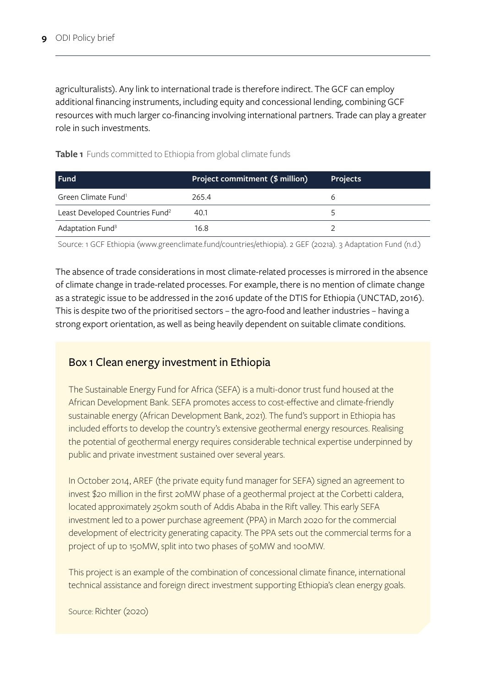agriculturalists). Any link to international trade is therefore indirect. The GCF can employ additional financing instruments, including equity and concessional lending, combining GCF resources with much larger co-financing involving international partners. Trade can play a greater role in such investments.

| Fund                                        | Project commitment (\$ million) | <b>Projects</b> |
|---------------------------------------------|---------------------------------|-----------------|
| Green Climate Fund <sup>1</sup>             | 265.4                           |                 |
| Least Developed Countries Fund <sup>2</sup> | 40.1                            |                 |
| Adaptation Fund <sup>3</sup>                | 16.8                            |                 |

**Table 1** Funds committed to Ethiopia from global climate funds

Source: 1 GCF Ethiopia [\(www.greenclimate.fund/countries/ethiopia](http://www.greenclimate.fund/countries/ethiopia)). 2 GEF (2021a). 3 Adaptation Fund (n.d.)

The absence of trade considerations in most climate-related processes is mirrored in the absence of climate change in trade-related processes. For example, there is no mention of climate change as a strategic issue to be addressed in the 2016 update of the DTIS for Ethiopia (UNCTAD, 2016). This is despite two of the prioritised sectors – the agro-food and leather industries – having a strong export orientation, as well as being heavily dependent on suitable climate conditions.

#### Box 1 Clean energy investment in Ethiopia

The Sustainable Energy Fund for Africa (SEFA) is a multi-donor trust fund housed at the African Development Bank. SEFA promotes access to cost-effective and climate-friendly sustainable energy (African Development Bank, 2021). The fund's support in Ethiopia has included efforts to develop the country's extensive geothermal energy resources. Realising the potential of geothermal energy requires considerable technical expertise underpinned by public and private investment sustained over several years.

In October 2014, AREF (the private equity fund manager for SEFA) signed an agreement to invest \$20 million in the first 20MW phase of a geothermal project at the Corbetti caldera, located approximately 250km south of Addis Ababa in the Rift valley. This early SEFA investment led to a power purchase agreement (PPA) in March 2020 for the commercial development of electricity generating capacity. The PPA sets out the commercial terms for a project of up to 150MW, split into two phases of 50MW and 100MW.

This project is an example of the combination of concessional climate finance, international technical assistance and foreign direct investment supporting Ethiopia's clean energy goals.

Source: Richter (2020)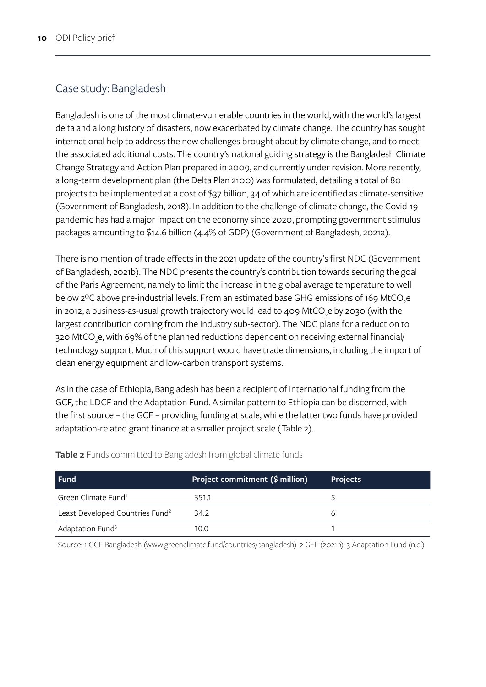#### Case study: Bangladesh

Bangladesh is one of the most climate-vulnerable countries in the world, with the world's largest delta and a long history of disasters, now exacerbated by climate change. The country has sought international help to address the new challenges brought about by climate change, and to meet the associated additional costs. The country's national guiding strategy is the Bangladesh Climate Change Strategy and Action Plan prepared in 2009, and currently under revision. More recently, a long-term development plan (the Delta Plan 2100) was formulated, detailing a total of 80 projects to be implemented at a cost of \$37 billion, 34 of which are identified as climate-sensitive (Government of Bangladesh, 2018). In addition to the challenge of climate change, the Covid-19 pandemic has had a major impact on the economy since 2020, prompting government stimulus packages amounting to \$14.6 billion (4.4% of GDP) (Government of Bangladesh, 2021a).

There is no mention of trade effects in the 2021 update of the country's first NDC (Government of Bangladesh, 2021b). The NDC presents the country's contribution towards securing the goal of the Paris Agreement, namely to limit the increase in the global average temperature to well below 2°C above pre-industrial levels. From an estimated base GHG emissions of 169 MtCO<sub>2</sub>e in 2012, a business-as-usual growth trajectory would lead to 409 MtCO<sub>3</sub>e by 2030 (with the largest contribution coming from the industry sub-sector). The NDC plans for a reduction to 320 MtCO<sub>3</sub>e, with 69% of the planned reductions dependent on receiving external financial/ technology support. Much of this support would have trade dimensions, including the import of clean energy equipment and low-carbon transport systems.

As in the case of Ethiopia, Bangladesh has been a recipient of international funding from the GCF, the LDCF and the Adaptation Fund. A similar pattern to Ethiopia can be discerned, with the first source – the GCF – providing funding at scale, while the latter two funds have provided adaptation-related grant finance at a smaller project scale (Table 2).

| l Fund                                      | Project commitment (\$ million) | <b>Projects</b> |
|---------------------------------------------|---------------------------------|-----------------|
| Green Climate Fund <sup>1</sup>             | 351.1                           |                 |
| Least Developed Countries Fund <sup>2</sup> | 34.2                            |                 |
| Adaptation Fund <sup>3</sup>                | 10.0                            |                 |

**Table 2** Funds committed to Bangladesh from global climate funds

Source: 1 GCF Bangladesh [\(www.greenclimate.fund/countries/bangladesh\)](http://www.greenclimate.fund/countries/bangladesh). 2 GEF (2021b). 3 Adaptation Fund (n.d.)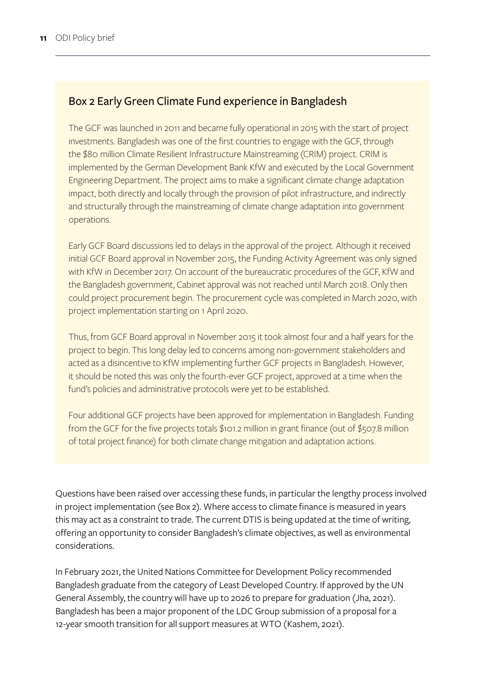#### Box 2 Early Green Climate Fund experience in Bangladesh

The GCF was launched in 2011 and became fully operational in 2015 with the start of project investments. Bangladesh was one of the first countries to engage with the GCF, through the \$80 million Climate Resilient Infrastructure Mainstreaming (CRIM) project. CRIM is implemented by the German Development Bank KfW and executed by the Local Government Engineering Department. The project aims to make a significant climate change adaptation impact, both directly and locally through the provision of pilot infrastructure, and indirectly and structurally through the mainstreaming of climate change adaptation into government operations.

Early GCF Board discussions led to delays in the approval of the project. Although it received initial GCF Board approval in November 2015, the Funding Activity Agreement was only signed with KfW in December 2017. On account of the bureaucratic procedures of the GCF, KfW and the Bangladesh government, Cabinet approval was not reached until March 2018. Only then could project procurement begin. The procurement cycle was completed in March 2020, with project implementation starting on 1 April 2020.

Thus, from GCF Board approval in November 2015 it took almost four and a half years for the project to begin. This long delay led to concerns among non-government stakeholders and acted as a disincentive to KfW implementing further GCF projects in Bangladesh. However, it should be noted this was only the fourth-ever GCF project, approved at a time when the fund's policies and administrative protocols were yet to be established.

Four additional GCF projects have been approved for implementation in Bangladesh. Funding from the GCF for the five projects totals \$101.2 million in grant finance (out of \$507.8 million of total project finance) for both climate change mitigation and adaptation actions.

Questions have been raised over accessing these funds, in particular the lengthy process involved in project implementation (see Box 2). Where access to climate finance is measured in years this may act as a constraint to trade. The current DTIS is being updated at the time of writing, offering an opportunity to consider Bangladesh's climate objectives, as well as environmental considerations.

In February 2021, the United Nations Committee for Development Policy recommended Bangladesh graduate from the category of Least Developed Country. If approved by the UN General Assembly, the country will have up to 2026 to prepare for graduation (Jha, 2021). Bangladesh has been a major proponent of the LDC Group submission of a proposal for a 12-year smooth transition for all support measures at WTO (Kashem, 2021).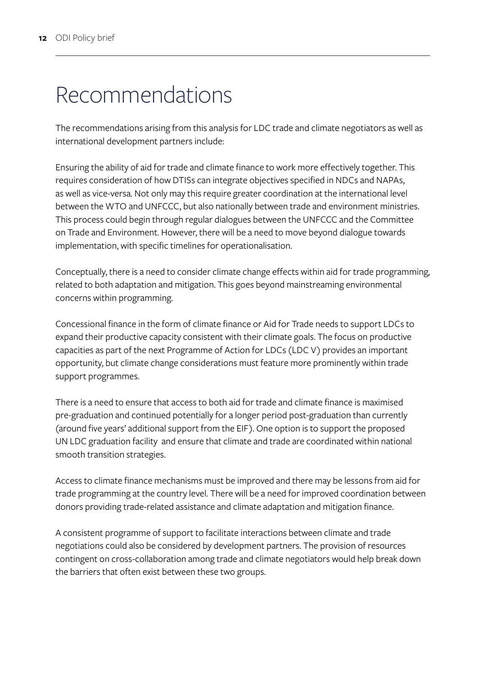### Recommendations

The recommendations arising from this analysis for LDC trade and climate negotiators as well as international development partners include:

Ensuring the ability of aid for trade and climate finance to work more effectively together. This requires consideration of how DTISs can integrate objectives specified in NDCs and NAPAs, as well as vice-versa. Not only may this require greater coordination at the international level between the WTO and UNFCCC, but also nationally between trade and environment ministries. This process could begin through regular dialogues between the UNFCCC and the Committee on Trade and Environment. However, there will be a need to move beyond dialogue towards implementation, with specific timelines for operationalisation.

Conceptually, there is a need to consider climate change effects within aid for trade programming, related to both adaptation and mitigation. This goes beyond mainstreaming environmental concerns within programming.

Concessional finance in the form of climate finance or Aid for Trade needs to support LDCs to expand their productive capacity consistent with their climate goals. The focus on productive capacities as part of the next Programme of Action for LDCs (LDC V) provides an important opportunity, but climate change considerations must feature more prominently within trade support programmes.

There is a need to ensure that access to both aid for trade and climate finance is maximised pre-graduation and continued potentially for a longer period post-graduation than currently (around five years' additional support from the EIF). One option is to support the proposed UN LDC graduation facility and ensure that climate and trade are coordinated within national smooth transition strategies.

Access to climate finance mechanisms must be improved and there may be lessons from aid for trade programming at the country level. There will be a need for improved coordination between donors providing trade-related assistance and climate adaptation and mitigation finance.

A consistent programme of support to facilitate interactions between climate and trade negotiations could also be considered by development partners. The provision of resources contingent on cross-collaboration among trade and climate negotiators would help break down the barriers that often exist between these two groups.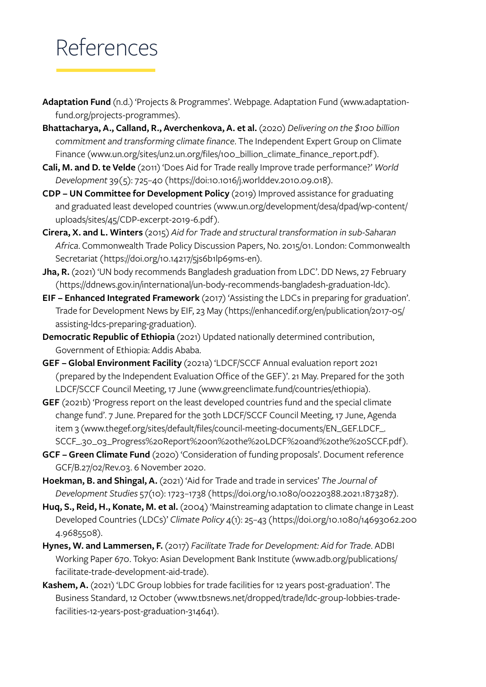### References

- **Adaptation Fund** (n.d.) 'Projects & Programmes'. Webpage. Adaptation Fund ([www.adaptation](http://www.adaptation-fund.org/projects-programmes)[fund.org/projects-programmes](http://www.adaptation-fund.org/projects-programmes)).
- **Bhattacharya, A., Calland, R., Averchenkova, A. et al.** (2020) *Delivering on the \$100 billion commitment and transforming climate finance*. The Independent Expert Group on Climate Finance [\(www.un.org/sites/un2.un.org/files/100\\_billion\\_climate\\_finance\\_report.pdf\)](http://www.un.org/sites/un2.un.org/files/100_billion_climate_finance_report.pdf).
- **Cali, M. and D. te Velde** (2011) 'Does Aid for Trade really Improve trade performance?' *World Development* 39(5): 725–40 (<https://doi:10.1016/j.worlddev.2010.09.018>).
- **CDP UN Committee for Development Policy** (2019) Improved assistance for graduating and graduated least developed countries ([www.un.org/development/desa/dpad/wp-content/](http://www.un.org/development/desa/dpad/wp-content/uploads/sites/45/CDP-excerpt-2019-6.pdf) [uploads/sites/45/CDP-excerpt-2019-6.pdf](http://www.un.org/development/desa/dpad/wp-content/uploads/sites/45/CDP-excerpt-2019-6.pdf)).
- **Cirera, X. and L. Winters** (2015) *Aid for Trade and structural transformation in sub-Saharan Africa*. Commonwealth Trade Policy Discussion Papers, No. 2015/01. London: Commonwealth Secretariat ([https://doi.org/10.14217/5js6b1lp69ms-en\).](https://doi.org/10.14217/5js6b1lp69ms-en))
- **Jha, R.** (2021) 'UN body recommends Bangladesh graduation from LDC'. DD News, 27 February (https://ddnews.gov.in/international/un-body-recommends-bangladesh-graduation-ldc).
- **EIF Enhanced Integrated Framework** (2017) 'Assisting the LDCs in preparing for graduation'. Trade for Development News by EIF, 23 May ([https://enhancedif.org/en/publication/2017-05/](https://enhancedif.org/en/publication/2017-05/assisting-ldcs-preparing-graduation) [assisting-ldcs-preparing-graduation\)](https://enhancedif.org/en/publication/2017-05/assisting-ldcs-preparing-graduation).
- **Democratic Republic of Ethiopia** (2021) Updated nationally determined contribution, Government of Ethiopia: Addis Ababa.
- **GEF Global Environment Facility** (2021a) 'LDCF/SCCF Annual evaluation report 2021 (prepared by the Independent Evaluation Office of the GEF)'. 21 May. Prepared for the 30th LDCF/SCCF Council Meeting, 17 June [\(www.greenclimate.fund/countries/ethiopia](http://www.greenclimate.fund/countries/ethiopia)).
- **GEF** (2021b) 'Progress report on the least developed countries fund and the special climate change fund'. 7 June. Prepared for the 30th LDCF/SCCF Council Meeting, 17 June, Agenda item 3 [\(www.thegef.org/sites/default/files/council-meeting-documents/EN\\_GEF.LDCF\\_.](http://www.thegef.org/sites/default/files/council-meeting-documents/EN_GEF.LDCF_.SCCF_.30_03_Progress%20Report%20on%20the%20LDCF%20and%20the%20SCCF.pdf) [SCCF\\_.30\\_03\\_Progress%20Report%20on%20the%20LDCF%20and%20the%20SCCF.pdf](http://www.thegef.org/sites/default/files/council-meeting-documents/EN_GEF.LDCF_.SCCF_.30_03_Progress%20Report%20on%20the%20LDCF%20and%20the%20SCCF.pdf)).
- **GCF Green Climate Fund** (2020) 'Consideration of funding proposals'. Document reference GCF/B.27/02/Rev.03. 6 November 2020.
- **Hoekman, B. and Shingal, A.** (2021) 'Aid for Trade and trade in services' *The Journal of Development Studies* 57(10): 1723–1738 ([https://doi.org/10.1080/00220388.2021.1873287\)](https://doi.org/10.1080/00220388.2021.1873287).
- **Huq, S., Reid, H., Konate, M. et al.** (2004) 'Mainstreaming adaptation to climate change in Least Developed Countries (LDCs)' *Climate Policy* 4(1): 25–43 ([https://doi.org/10.1080/14693062.200](https://doi.org/10.1080/14693062.2004.9685508) [4.9685508](https://doi.org/10.1080/14693062.2004.9685508)).
- **Hynes, W. and Lammersen, F.** (2017) *Facilitate Trade for Development: Aid for Trade*. ADBI Working Paper 670. Tokyo: Asian Development Bank Institute ([www.adb.org/publications/](http://www.adb.org/publications/facilitate-trade-development-aid-trade) [facilitate-trade-development-aid-trade](http://www.adb.org/publications/facilitate-trade-development-aid-trade)).
- **Kashem, A.** (2021) 'LDC Group lobbies for trade facilities for 12 years post-graduation'. The Business Standard, 12 October [\(www.tbsnews.net/dropped/trade/ldc-group-lobbies-trade](http://www.tbsnews.net/dropped/trade/ldc-group-lobbies-trade-facilities-12-years-post-graduation-314641)[facilities-12-years-post-graduation-314641\)](http://www.tbsnews.net/dropped/trade/ldc-group-lobbies-trade-facilities-12-years-post-graduation-314641).